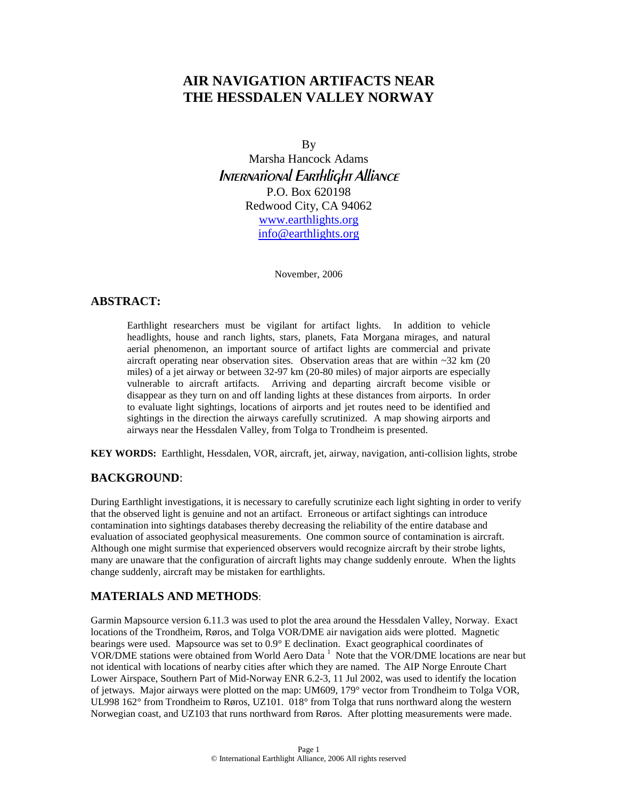# **AIR NAVIGATION ARTIFACTS NEAR THE HESSDALEN VALLEY NORWAY**

By

Marsha Hancock Adams International Earthlight Alliance P.O. Box 620198 Redwood City, CA 94062 [www.earthlights.org](http://www.earthlights.org/) [info@earthlights.org](mailto:info@earthlights.org)

November, 2006

## **ABSTRACT:**

Earthlight researchers must be vigilant for artifact lights. In addition to vehicle headlights, house and ranch lights, stars, planets, Fata Morgana mirages, and natural aerial phenomenon, an important source of artifact lights are commercial and private aircraft operating near observation sites. Observation areas that are within ~32 km (20 miles) of a jet airway or between 32-97 km (20-80 miles) of major airports are especially vulnerable to aircraft artifacts. Arriving and departing aircraft become visible or disappear as they turn on and off landing lights at these distances from airports. In order to evaluate light sightings, locations of airports and jet routes need to be identified and sightings in the direction the airways carefully scrutinized. A map showing airports and airways near the Hessdalen Valley, from Tolga to Trondheim is presented.

**KEY WORDS:** Earthlight, Hessdalen, VOR, aircraft, jet, airway, navigation, anti-collision lights, strobe

## **BACKGROUND**:

During Earthlight investigations, it is necessary to carefully scrutinize each light sighting in order to verify that the observed light is genuine and not an artifact. Erroneous or artifact sightings can introduce contamination into sightings databases thereby decreasing the reliability of the entire database and evaluation of associated geophysical measurements. One common source of contamination is aircraft. Although one might surmise that experienced observers would recognize aircraft by their strobe lights, many are unaware that the configuration of aircraft lights may change suddenly enroute. When the lights change suddenly, aircraft may be mistaken for earthlights.

## **MATERIALS AND METHODS**:

Garmin Mapsource version 6.11.3 was used to plot the area around the Hessdalen Valley, Norway. Exact locations of the Trondheim, Røros, and Tolga VOR/DME air navigation aids were plotted. Magnetic bearings were used. Mapsource was set to 0.9° E declination. Exact geographical coordinates of VOR/DMEstations were obtained from World Aero Data<sup>1</sup> Note that the VOR/DME locations are near but not identical with locations of nearby cities after which they are named. The AIP Norge Enroute Chart Lower Airspace, Southern Part of Mid-Norway ENR 6.2-3, 11 Jul 2002, was used to identify the location of jetways. Major airways were plotted on the map: UM609, 179° vector from Trondheim to Tolga VOR, UL998 162° from Trondheim to Røros, UZ101. 018° from Tolga that runs northward along the western Norwegian coast, and UZ103 that runs northward from Røros. After plotting measurements were made.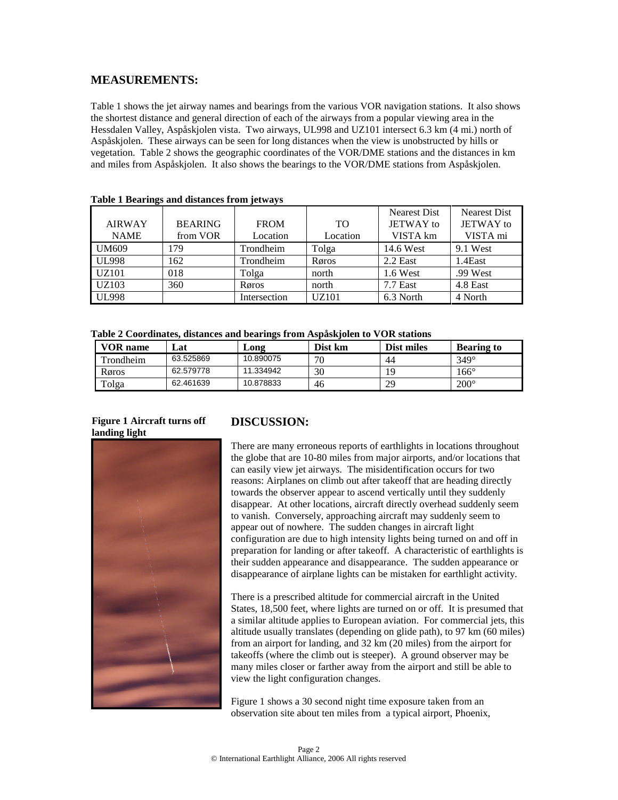## **MEASUREMENTS:**

Table 1 shows the jet airway names and bearings from the various VOR navigation stations. It also shows the shortest distance and general direction of each of the airways from a popular viewing area in the Hessdalen Valley, Aspåskjolen vista. Two airways, UL998 and UZ101 intersect 6.3 km (4 mi.) north of Aspåskjolen. These airways can be seen for long distances when the view is unobstructed by hills or vegetation. Table 2 shows the geographic coordinates of the VOR/DME stations and the distances in km and miles from Aspåskjolen. It also shows the bearings to the VOR/DME stations from Aspåskjolen.

| <b>AIRWAY</b><br><b>NAME</b> | <b>BEARING</b><br>from VOR | <b>FROM</b><br>Location | <b>TO</b><br>Location | <b>Nearest Dist</b><br><b>JETWAY</b> to<br>VISTA km | <b>Nearest Dist</b><br>JETWAY to<br>VISTA mi |
|------------------------------|----------------------------|-------------------------|-----------------------|-----------------------------------------------------|----------------------------------------------|
| <b>UM609</b>                 | 179                        | Trondheim               | Tolga                 | 14.6 West                                           | 9.1 West                                     |
| <b>UL998</b>                 | 162                        | Trondheim               | Røros                 | 2.2 East                                            | 1.4East                                      |
| UZ101                        | 018                        | Tolga                   | north                 | 1.6 West                                            | .99 West                                     |
| UZ103                        | 360                        | Røros                   | north                 | $7.7$ East                                          | 4.8 East                                     |
| <b>UL998</b>                 |                            | Intersection            | <b>UZ101</b>          | 6.3 North                                           | 4 North                                      |

#### **Table 1 Bearings and distances from jetways**

**Table 2 Coordinates, distances and bearings from Aspåskjolen to VOR stations**

| VOR name  | اat       | Long      | Dist km | Dist miles | <b>Bearing to</b> |
|-----------|-----------|-----------|---------|------------|-------------------|
| Trondheim | 63.525869 | 10.890075 | חר      | 44         | $349^\circ$       |
| Røros     | 62.579778 | 11.334942 | 30      | Q          | 166°              |
| Tolga     | 62.461639 | 10.878833 | 46      | 29         | $200^\circ$       |

#### **Figure 1 Aircraft turns off landing light**



## **DISCUSSION:**

There are many erroneous reports of earthlights in locations throughout the globe that are 10-80 miles from major airports, and/or locations that can easily view jet airways. The misidentification occurs for two reasons: Airplanes on climb out after takeoff that are heading directly towards the observer appear to ascend vertically until they suddenly disappear. At other locations, aircraft directly overhead suddenly seem to vanish. Conversely, approaching aircraft may suddenly seem to appear out of nowhere. The sudden changes in aircraft light configuration are due to high intensity lights being turned on and off in preparation for landing or after takeoff. A characteristic of earthlights is their sudden appearance and disappearance. The sudden appearance or disappearance of airplane lights can be mistaken for earthlight activity.

There is a prescribed altitude for commercial aircraft in the United States, 18,500 feet, where lights are turned on or off. It is presumed that a similar altitude applies to European aviation. For commercial jets, this altitude usually translates (depending on glide path), to 97 km (60 miles) from an airport for landing, and 32 km (20 miles) from the airport for takeoffs (where the climb out is steeper). A ground observer may be many miles closer or farther away from the airport and still be able to view the light configuration changes.

Figure 1 shows a 30 second night time exposure taken from an observation site about ten miles from a typical airport, Phoenix,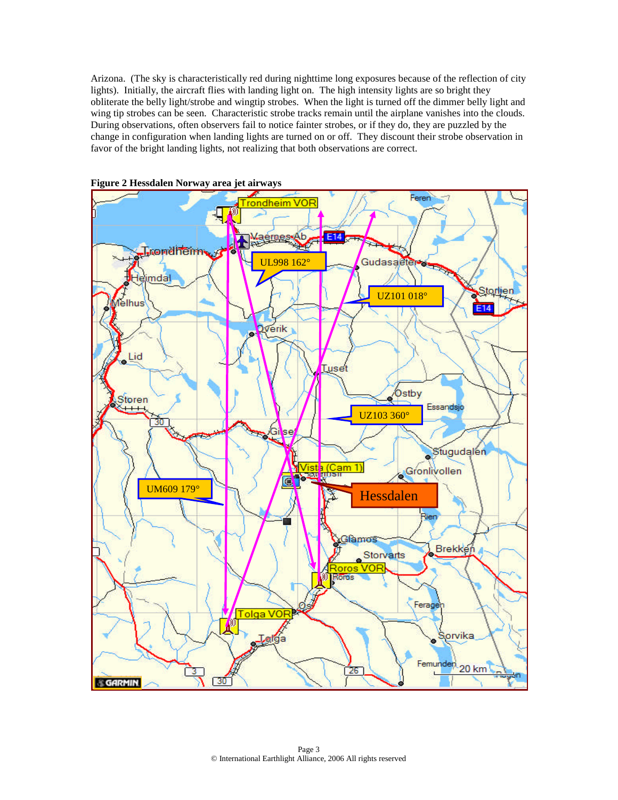Arizona. (The sky is characteristically red during nighttime long exposures because of the reflection of city lights). Initially, the aircraft flies with landing light on. The high intensity lights are so bright they obliterate the belly light/strobe and wingtip strobes. When the light is turned off the dimmer belly light and wing tip strobes can be seen. Characteristic strobe tracks remain until the airplane vanishes into the clouds. During observations, often observers fail to notice fainter strobes, or if they do, they are puzzled by the change in configuration when landing lights are turned on or off. They discount their strobe observation in favor of the bright landing lights, not realizing that both observations are correct.



**Figure 2 Hessdalen Norway area jet airways**